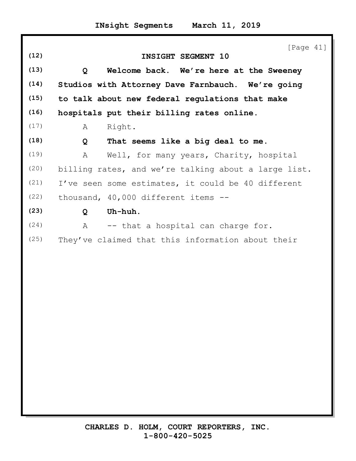|      |              | [Page $41$ ]                                         |
|------|--------------|------------------------------------------------------|
| (12) |              | INSIGHT SEGMENT 10                                   |
| (13) | Q            | Welcome back. We're here at the Sweeney              |
| (14) |              | Studios with Attorney Dave Farnbauch. We're going    |
| (15) |              | to talk about new federal regulations that make      |
| (16) |              | hospitals put their billing rates online.            |
| (17) | A            | Right.                                               |
| (18) | Q            | That seems like a big deal to me.                    |
| (19) | A            | Well, for many years, Charity, hospital              |
| (20) |              | billing rates, and we're talking about a large list. |
| (21) |              | I've seen some estimates, it could be 40 different   |
| (22) |              | thousand, 40,000 different items --                  |
| (23) | $\mathbf{Q}$ | Uh-huh.                                              |
| (24) | $\mathbb A$  | -- that a hospital can charge for.                   |
| (25) |              | They've claimed that this information about their    |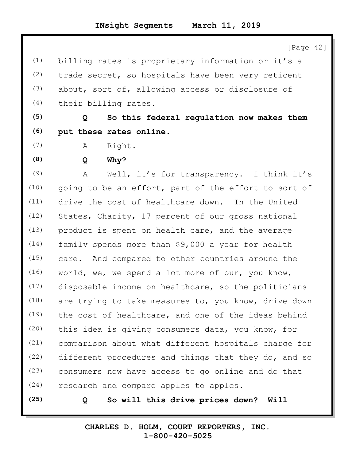[Page 42]

(1) billing rates is proprietary information or it's a (2) trade secret, so hospitals have been very reticent (3) about, sort of, allowing access or disclosure of (4) their billing rates. **(5) Q So this federal regulation now makes them**

- **(6) put these rates online.**
- (7) A Right.
- **(8) Q Why?**

(9) A Well, it's for transparency. I think it's (10) going to be an effort, part of the effort to sort of (11) drive the cost of healthcare down. In the United (12) States, Charity, 17 percent of our gross national (13) product is spent on health care, and the average (14) family spends more than \$9,000 a year for health (15) care. And compared to other countries around the (16) world, we, we spend a lot more of our, you know, (17) disposable income on healthcare, so the politicians (18) are trying to take measures to, you know, drive down (19) the cost of healthcare, and one of the ideas behind (20) this idea is giving consumers data, you know, for (21) comparison about what different hospitals charge for (22) different procedures and things that they do, and so (23) consumers now have access to go online and do that (24) research and compare apples to apples.

**(25) Q So will this drive prices down? Will**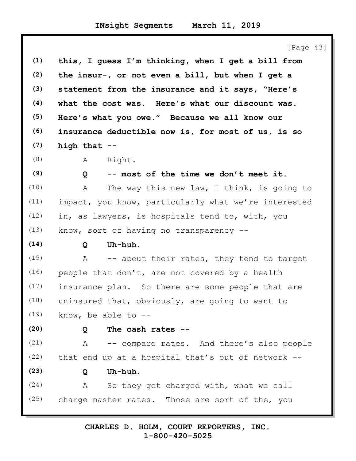|      | [Page 43]                                             |
|------|-------------------------------------------------------|
| (1)  | this, I guess I'm thinking, when I get a bill from    |
| (2)  | the insur-, or not even a bill, but when I get a      |
| (3)  | statement from the insurance and it says, "Here's     |
| (4)  | what the cost was. Here's what our discount was.      |
| (5)  | Here's what you owe." Because we all know our         |
| (6)  | insurance deductible now is, for most of us, is so    |
| (7)  | high that --                                          |
| (8)  | Right.<br>Α                                           |
| (9)  | -- most of the time we don't meet it.<br>$\mathsf{Q}$ |
| (10) | The way this new law, I think, is going to<br>A       |
| (11) | impact, you know, particularly what we're interested  |
| (12) | in, as lawyers, is hospitals tend to, with, you       |
| (13) | know, sort of having no transparency $-$ -            |
| (14) | Uh-huh.<br>Q                                          |
| (15) | -- about their rates, they tend to target<br>A        |
| (16) | people that don't, are not covered by a health        |
| (17) | insurance plan. So there are some people that are     |
| (18) | uninsured that, obviously, are going to want to       |
| (19) | know, be able to $--$                                 |
| (20) | The cash rates --<br>Q                                |
| (21) | -- compare rates. And there's also people<br>A        |
| (22) | that end up at a hospital that's out of network --    |
| (23) | Uh-huh.<br>Q                                          |
| (24) | So they get charged with, what we call<br>A           |
| (25) | charge master rates. Those are sort of the, you       |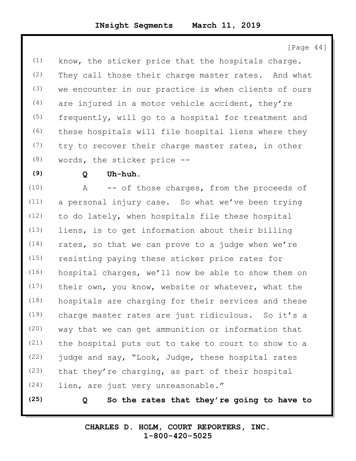[Page 44]

(1) know, the sticker price that the hospitals charge. (2) They call those their charge master rates. And what (3) we encounter in our practice is when clients of ours  $(4)$  are injured in a motor vehicle accident, they're (5) frequently, will go to a hospital for treatment and (6) these hospitals will file hospital liens where they (7) try to recover their charge master rates, in other (8) words, the sticker price --

## **(9) Q Uh-huh.**

(10) A -- of those charges, from the proceeds of (11) a personal injury case. So what we've been trying (12) to do lately, when hospitals file these hospital (13) liens, is to get information about their billing  $(14)$  rates, so that we can prove to a judge when we're (15) resisting paying these sticker price rates for (16) hospital charges, we'll now be able to show them on (17) their own, you know, website or whatever, what the (18) hospitals are charging for their services and these (19) charge master rates are just ridiculous. So it's a (20) way that we can get ammunition or information that (21) the hospital puts out to take to court to show to a (22) judge and say, "Look, Judge, these hospital rates (23) that they're charging, as part of their hospital (24) lien, are just very unreasonable."

**(25) Q So the rates that they're going to have to**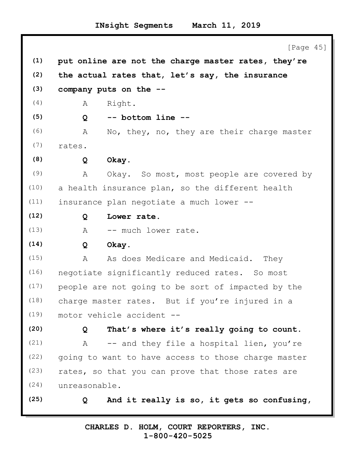[Page 45] **(1) put online are not the charge master rates, they're (2) the actual rates that, let's say, the insurance (3) company puts on the --** (4) A Right. **(5) Q -- bottom line --** (6) A No, they, no, they are their charge master (7) rates. **(8) Q Okay.** (9) A Okay. So most, most people are covered by (10) a health insurance plan, so the different health (11) insurance plan negotiate a much lower -- **(12) Q Lower rate.** (13) A -- much lower rate. **(14) Q Okay.** (15) A As does Medicare and Medicaid. They (16) negotiate significantly reduced rates. So most (17) people are not going to be sort of impacted by the (18) charge master rates. But if you're injured in a (19) motor vehicle accident -- **(20) Q That's where it's really going to count.** (21) A -- and they file a hospital lien, you're (22) going to want to have access to those charge master (23) rates, so that you can prove that those rates are (24) unreasonable. **(25) Q And it really is so, it gets so confusing,**